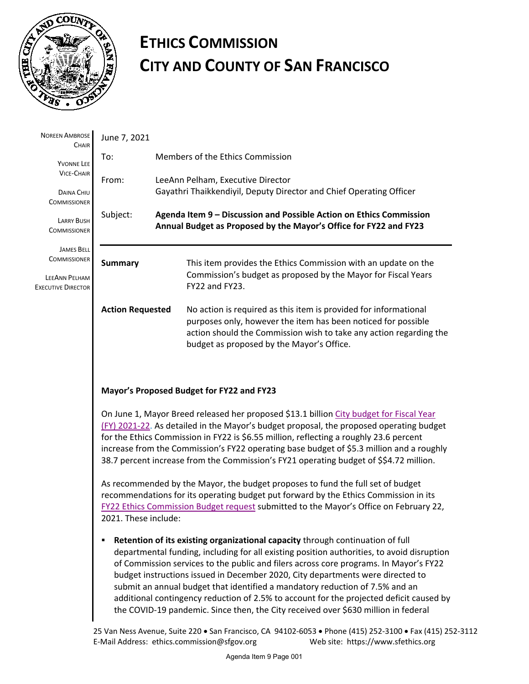

## **ETHICS COMMISSION CITY AND COUNTY OF SAN FRANCISCO**

| <b>NOREEN AMBROSE</b><br>CHAIR                                                                                   | June 7, 2021                                                                                                                                                                                                                                                                                                                                                                                                                                                                                                                                                                                                             |                                                                                                          |                                                                                                                                                                                                                                                      |  |  |
|------------------------------------------------------------------------------------------------------------------|--------------------------------------------------------------------------------------------------------------------------------------------------------------------------------------------------------------------------------------------------------------------------------------------------------------------------------------------------------------------------------------------------------------------------------------------------------------------------------------------------------------------------------------------------------------------------------------------------------------------------|----------------------------------------------------------------------------------------------------------|------------------------------------------------------------------------------------------------------------------------------------------------------------------------------------------------------------------------------------------------------|--|--|
| YVONNE LEE<br><b>VICE-CHAIR</b><br>DAINA CHIU<br><b>COMMISSIONER</b><br><b>LARRY BUSH</b><br><b>COMMISSIONER</b> | To:                                                                                                                                                                                                                                                                                                                                                                                                                                                                                                                                                                                                                      |                                                                                                          | Members of the Ethics Commission                                                                                                                                                                                                                     |  |  |
|                                                                                                                  | From:                                                                                                                                                                                                                                                                                                                                                                                                                                                                                                                                                                                                                    | LeeAnn Pelham, Executive Director<br>Gayathri Thaikkendiyil, Deputy Director and Chief Operating Officer |                                                                                                                                                                                                                                                      |  |  |
|                                                                                                                  | Subject:                                                                                                                                                                                                                                                                                                                                                                                                                                                                                                                                                                                                                 |                                                                                                          | Agenda Item 9 - Discussion and Possible Action on Ethics Commission                                                                                                                                                                                  |  |  |
|                                                                                                                  | Annual Budget as Proposed by the Mayor's Office for FY22 and FY23                                                                                                                                                                                                                                                                                                                                                                                                                                                                                                                                                        |                                                                                                          |                                                                                                                                                                                                                                                      |  |  |
| <b>JAMES BELL</b><br><b>COMMISSIONER</b>                                                                         | <b>Summary</b>                                                                                                                                                                                                                                                                                                                                                                                                                                                                                                                                                                                                           |                                                                                                          | This item provides the Ethics Commission with an update on the<br>Commission's budget as proposed by the Mayor for Fiscal Years<br>FY22 and FY23.                                                                                                    |  |  |
| LEEANN PELHAM<br><b>EXECUTIVE DIRECTOR</b>                                                                       |                                                                                                                                                                                                                                                                                                                                                                                                                                                                                                                                                                                                                          |                                                                                                          |                                                                                                                                                                                                                                                      |  |  |
|                                                                                                                  | <b>Action Requested</b>                                                                                                                                                                                                                                                                                                                                                                                                                                                                                                                                                                                                  |                                                                                                          | No action is required as this item is provided for informational<br>purposes only, however the item has been noticed for possible<br>action should the Commission wish to take any action regarding the<br>budget as proposed by the Mayor's Office. |  |  |
|                                                                                                                  | Mayor's Proposed Budget for FY22 and FY23                                                                                                                                                                                                                                                                                                                                                                                                                                                                                                                                                                                |                                                                                                          |                                                                                                                                                                                                                                                      |  |  |
|                                                                                                                  | On June 1, Mayor Breed released her proposed \$13.1 billion City budget for Fiscal Year<br>(FY) 2021-22. As detailed in the Mayor's budget proposal, the proposed operating budget<br>for the Ethics Commission in FY22 is \$6.55 million, reflecting a roughly 23.6 percent<br>increase from the Commission's FY22 operating base budget of \$5.3 million and a roughly<br>38.7 percent increase from the Commission's FY21 operating budget of \$\$4.72 million.                                                                                                                                                       |                                                                                                          |                                                                                                                                                                                                                                                      |  |  |
|                                                                                                                  | As recommended by the Mayor, the budget proposes to fund the full set of budget<br>recommendations for its operating budget put forward by the Ethics Commission in its<br>FY22 Ethics Commission Budget request submitted to the Mayor's Office on February 22,<br>2021. These include:                                                                                                                                                                                                                                                                                                                                 |                                                                                                          |                                                                                                                                                                                                                                                      |  |  |
|                                                                                                                  | Retention of its existing organizational capacity through continuation of full<br>departmental funding, including for all existing position authorities, to avoid disruption<br>of Commission services to the public and filers across core programs. In Mayor's FY22<br>budget instructions issued in December 2020, City departments were directed to<br>submit an annual budget that identified a mandatory reduction of 7.5% and an<br>additional contingency reduction of 2.5% to account for the projected deficit caused by<br>the COVID-19 pandemic. Since then, the City received over \$630 million in federal |                                                                                                          |                                                                                                                                                                                                                                                      |  |  |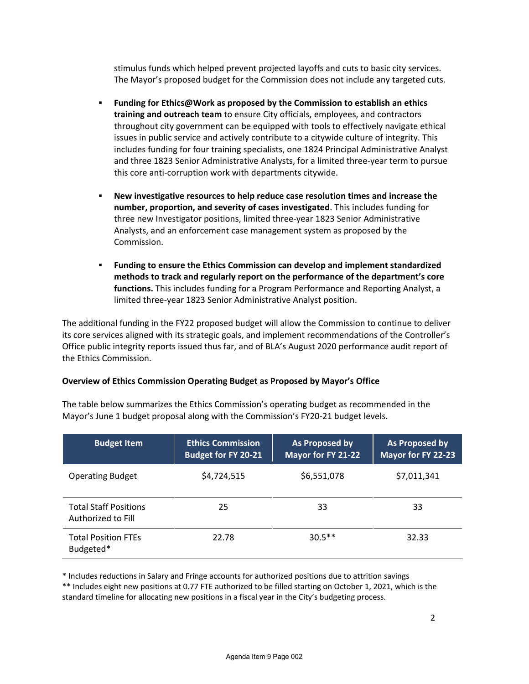stimulus funds which helped prevent projected layoffs and cuts to basic city services. The Mayor's proposed budget for the Commission does not include any targeted cuts.

- **Funding for Ethics@Work as proposed by the Commission to establish an ethics training and outreach team** to ensure City officials, employees, and contractors throughout city government can be equipped with tools to effectively navigate ethical issues in public service and actively contribute to a citywide culture of integrity. This includes funding for four training specialists, one 1824 Principal Administrative Analyst and three 1823 Senior Administrative Analysts, for a limited three-year term to pursue this core anti-corruption work with departments citywide.
- **New investigative resources to help reduce case resolution times and increase the number, proportion, and severity of cases investigated**. This includes funding for three new Investigator positions, limited three-year 1823 Senior Administrative Analysts, and an enforcement case management system as proposed by the Commission.
- **Funding to ensure the Ethics Commission can develop and implement standardized methods to track and regularly report on the performance of the department's core functions.** This includes funding for a Program Performance and Reporting Analyst, a limited three-year 1823 Senior Administrative Analyst position.

The additional funding in the FY22 proposed budget will allow the Commission to continue to deliver its core services aligned with its strategic goals, and implement recommendations of the Controller's Office public integrity reports issued thus far, and of BLA's August 2020 performance audit report of the Ethics Commission.

## **Overview of Ethics Commission Operating Budget as Proposed by Mayor's Office**

| <b>Budget Item</b>                                 | <b>Ethics Commission</b><br><b>Budget for FY 20-21</b> | As Proposed by<br>Mayor for FY 21-22 | As Proposed by<br>Mayor for FY 22-23 |
|----------------------------------------------------|--------------------------------------------------------|--------------------------------------|--------------------------------------|
| <b>Operating Budget</b>                            | \$4,724,515                                            | \$6,551,078                          | \$7,011,341                          |
| <b>Total Staff Positions</b><br>Authorized to Fill | 25                                                     | 33                                   | 33                                   |
| <b>Total Position FTEs</b><br>Budgeted*            | 22.78                                                  | $30.5**$                             | 32.33                                |

The table below summarizes the Ethics Commission's operating budget as recommended in the Mayor's June 1 budget proposal along with the Commission's FY20-21 budget levels.

\* Includes reductions in Salary and Fringe accounts for authorized positions due to attrition savings

\*\* Includes eight new positions at 0.77 FTE authorized to be filled starting on October 1, 2021, which is the standard timeline for allocating new positions in a fiscal year in the City's budgeting process.